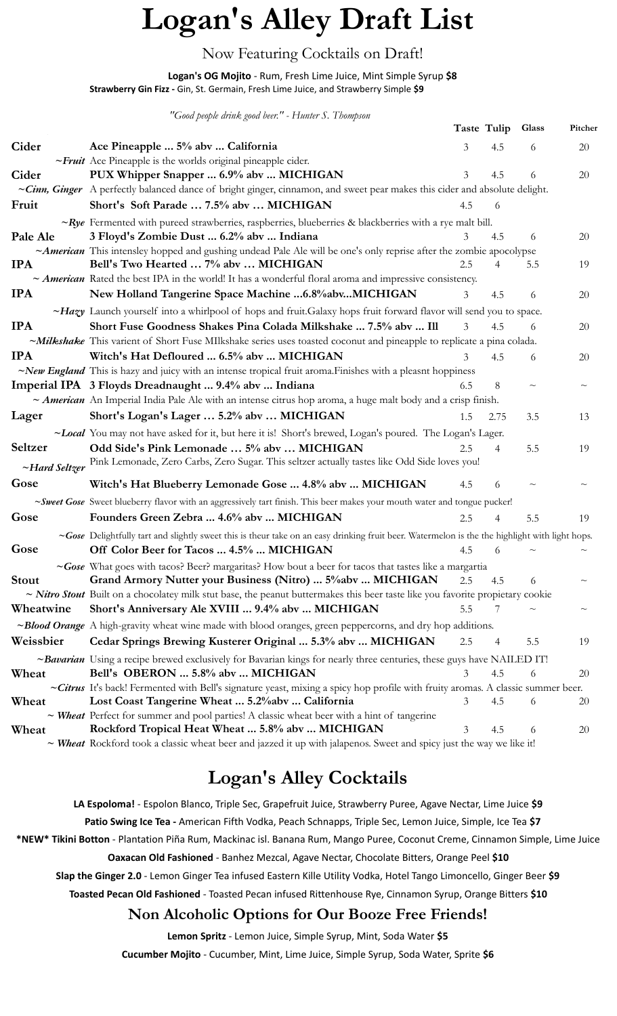# **Logan's Alley Draft List**

### Now Featuring Cocktails on Draft!

### **Logan's OG Mojito** - Rum, Fresh Lime Juice, Mint Simple Syrup **\$8**

**Strawberry Gin Fizz -** Gin, St. Germain, Fresh Lime Juice, and Strawberry Simple **\$9**

*"Good people drink good beer." - Hunter S. Thompson*

|              |                                                                                                                                                                                     |     | Taste Tulip | Glass  | Pitcher |
|--------------|-------------------------------------------------------------------------------------------------------------------------------------------------------------------------------------|-----|-------------|--------|---------|
| Cider        | Ace Pineapple  5% abv  California                                                                                                                                                   | 3   | 4.5         | 6      | 20      |
|              | ~Fruit Ace Pineapple is the worlds original pineapple cider.                                                                                                                        |     |             |        |         |
| Cider        | PUX Whipper Snapper  6.9% abv  MICHIGAN                                                                                                                                             | 3   | 4.5         | 6      | 20      |
|              | ~Cinn, Ginger A perfectly balanced dance of bright ginger, cinnamon, and sweet pear makes this cider and absolute delight.                                                          |     |             |        |         |
| Fruit        | Short's Soft Parade  7.5% abv  MICHIGAN                                                                                                                                             | 4.5 | 6           |        |         |
|              | $\sim Rye$ Fermented with pureed strawberries, raspberries, blueberries & blackberries with a rye malt bill.                                                                        |     |             |        |         |
| Pale Ale     | 3 Floyd's Zombie Dust  6.2% abv  Indiana                                                                                                                                            | 3   | 4.5         | 6      | 20      |
|              | ~American This intensley hopped and gushing undead Pale Ale will be one's only reprise after the zombie apocolypse                                                                  |     |             |        |         |
| <b>IPA</b>   | Bell's Two Hearted  7% abv  MICHIGAN                                                                                                                                                | 2.5 |             | 5.5    | 19      |
|              | $\sim$ American Rated the best IPA in the world! It has a wonderful floral aroma and impressive consistency.                                                                        |     |             |        |         |
| <b>IPA</b>   | New Holland Tangerine Space Machine  6.8% abv MICHIGAN                                                                                                                              | 3   | 4.5         | 6      | 20      |
|              | $\sim$ Hazy Launch yourself into a whirlpool of hops and fruit. Galaxy hops fruit forward flavor will send you to space.                                                            |     |             |        |         |
| <b>IPA</b>   | Short Fuse Goodness Shakes Pina Colada Milkshake  7.5% abv  Ill                                                                                                                     | 3   | 4.5         | 6      | 20      |
|              | ~Milkshake This varient of Short Fuse MIlkshake series uses toasted coconut and pineapple to replicate a pina colada.                                                               |     |             |        |         |
| <b>IPA</b>   | Witch's Hat Defloured  6.5% abv  MICHIGAN                                                                                                                                           | 3   | 4.5         | 6      | 20      |
|              | $\sim$ New England This is hazy and juicy with an intense tropical fruit aroma. Finishes with a pleasnt hoppiness                                                                   |     |             |        |         |
|              | Imperial IPA 3 Floyds Dreadnaught  9.4% abv  Indiana                                                                                                                                | 6.5 | 8           | $\sim$ |         |
|              | ~ American An Imperial India Pale Ale with an intense citrus hop aroma, a huge malt body and a crisp finish.                                                                        |     |             |        |         |
| Lager        | Short's Logan's Lager  5.2% abv  MICHIGAN                                                                                                                                           | 1.5 | 2.75        | 3.5    | 13      |
|              | ~Local You may not have asked for it, but here it is! Short's brewed, Logan's poured. The Logan's Lager.                                                                            |     |             |        |         |
| Seltzer      | Odd Side's Pink Lemonade  5% abv  MICHIGAN                                                                                                                                          | 2.5 | 4           | 5.5    | 19      |
|              | ~Hard Seltzer Pink Lemonade, Zero Carbs, Zero Sugar. This seltzer actually tastes like Odd Side loves you!                                                                          |     |             |        |         |
| Gose         | Witch's Hat Blueberry Lemonade Gose  4.8% abv  MICHIGAN                                                                                                                             | 4.5 | 6           | $\sim$ |         |
|              | ~Sweet Gose Sweet blueberry flavor with an aggressively tart finish. This beer makes your mouth water and tongue pucker!                                                            |     |             |        |         |
| Gose         | Founders Green Zebra  4.6% abv  MICHIGAN                                                                                                                                            | 2.5 | 4           | 5.5    | 19      |
|              | ~Gose Delightfully tart and slightly sweet this is theur take on an easy drinking fruit beer. Watermelon is the the highlight with light hops.                                      |     |             |        |         |
| Gose         | Off Color Beer for Tacos  4.5%  MICHIGAN                                                                                                                                            | 4.5 | 6           |        |         |
|              |                                                                                                                                                                                     |     |             |        |         |
| <b>Stout</b> | ~Gose What goes with tacos? Beer? margaritas? How bout a beer for tacos that tastes like a margartia<br>Grand Armory Nutter your Business (Nitro)  5%abv  MICHIGAN                  | 2.5 | 4.5         | 6      | $\sim$  |
|              | ~ <b>Nitro Stout</b> Built on a chocolatey milk stut base, the peanut buttermakes this beer taste like you favorite propietary cookie                                               |     |             |        |         |
| Wheatwine    | Short's Anniversary Ale XVIII  9.4% abv  MICHIGAN                                                                                                                                   | 5.5 |             |        |         |
|              | ~ <b>Blood Orange</b> A high-gravity wheat wine made with blood oranges, green peppercorns, and dry hop additions.                                                                  |     |             |        |         |
| Weissbier    | Cedar Springs Brewing Kusterer Original  5.3% abv  MICHIGAN                                                                                                                         | 2.5 | 4           | 5.5    | 19      |
|              |                                                                                                                                                                                     |     |             |        |         |
|              | ~Bavarian Using a recipe brewed exclusively for Bavarian kings for nearly three centuries, these guys have NAILED IT!                                                               |     |             |        |         |
| Wheat        | Bell's OBERON  5.8% abv  MICHIGAN                                                                                                                                                   | 3   | 4.5         | 6      | 20      |
| Wheat        | ~Citrus It's back! Fermented with Bell's signature yeast, mixing a spicy hop profile with fruity aromas. A classic summer beer.<br>Lost Coast Tangerine Wheat  5.2% abv  California | 3   | 4.5         | 6      | 20      |
|              | $\sim$ Wheat Perfect for summer and pool parties! A classic wheat beer with a hint of tangerine                                                                                     |     |             |        |         |
| Wheat        | Rockford Tropical Heat Wheat  5.8% abv  MICHIGAN                                                                                                                                    | 3   | 4.5         | 6      | 20      |
|              | ~ Wheat Rockford took a classic wheat beer and jazzed it up with jalapenos. Sweet and spicy just the way we like it!                                                                |     |             |        |         |

## **Logan's Alley Cocktails**

**LA Espoloma!** - Espolon Blanco, Triple Sec, Grapefruit Juice, Strawberry Puree, Agave Nectar, Lime Juice **\$9 Patio Swing Ice Tea -** American Fifth Vodka, Peach Schnapps, Triple Sec, Lemon Juice, Simple, Ice Tea **\$7 \*NEW\* Tikini Botton** - Plantation Piña Rum, Mackinac isl. Banana Rum, Mango Puree, Coconut Creme, Cinnamon Simple, Lime Juice **Oaxacan Old Fashioned** - Banhez Mezcal, Agave Nectar, Chocolate Bitters, Orange Peel **\$10 Slap the Ginger 2.0** - Lemon Ginger Tea infused Eastern Kille Utility Vodka, Hotel Tango Limoncello, Ginger Beer **\$9 Toasted Pecan Old Fashioned** - Toasted Pecan infused Rittenhouse Rye, Cinnamon Syrup, Orange Bitters **\$10**

### **Non Alcoholic Options for Our Booze Free Friends!**

**Lemon Spritz** - Lemon Juice, Simple Syrup, Mint, Soda Water **\$5**

**Cucumber Mojito** - Cucumber, Mint, Lime Juice, Simple Syrup, Soda Water, Sprite **\$6**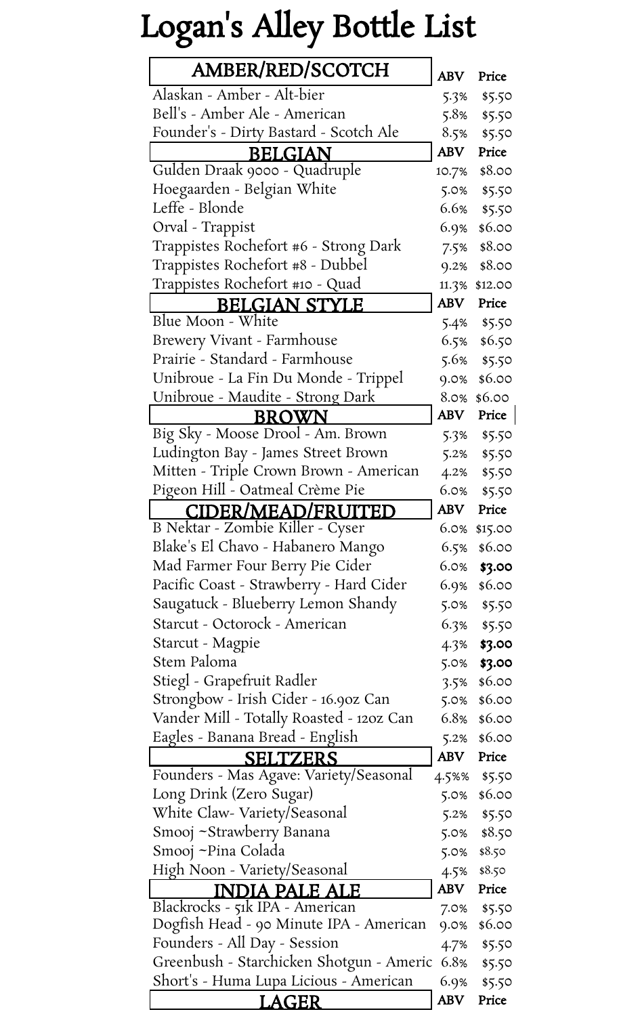# Logan's Alley Bottle List

| <b>AMBER/RED/SCOTCH</b>                       |             | Price     |
|-----------------------------------------------|-------------|-----------|
| Alaskan - Amber - Alt-bier                    | 5.3%        | \$5.50    |
| Bell's - Amber Ale - American                 | 5.8%        | \$5.50    |
| Founder's - Dirty Bastard - Scotch Ale        | 8.5%        | \$5.50    |
| <b>BELGIAN</b>                                | <b>ABV</b>  | Price     |
| Gulden Draak 9000 - Quadruple                 | 10.7%       | \$8.00    |
| Hoegaarden - Belgian White                    | 5.0%        | \$5.50    |
| Leffe - Blonde                                | 6.6%        | \$5.50    |
| Orval - Trappist                              | 6.9%        | \$6.00    |
| Trappistes Rochefort #6 - Strong Dark         | 7.5%        | \$8.00    |
| Trappistes Rochefort #8 - Dubbel              | 9.2%        | \$8.00    |
| Trappistes Rochefort #10 - Quad               | 11.3%       | \$12.00   |
| <b>BELGIAN STYLE</b>                          | ABV         | Price     |
| Blue Moon - White                             | 5.4%        | \$5.50    |
| <b>Brewery Vivant - Farmhouse</b>             | 6.5%        | \$6.50    |
| Prairie - Standard - Farmhouse                | 5.6%        | \$5.50    |
| Unibroue - La Fin Du Monde - Trippel          | 9.0%        | \$6.00    |
| Unibroue - Maudite - Strong Dark              | 8.0%        | \$6.00    |
| BROWN                                         | ${\bf ABV}$ | Price     |
| Big Sky - Moose Drool - Am. Brown             | 5.3%        | \$5.50    |
| Ludington Bay - James Street Brown            | 5.2%        | \$5.50    |
| Mitten - Triple Crown Brown - American        | 4.2%        | \$5.50    |
| Pigeon Hill - Oatmeal Crème Pie               | $6.0\%$     | \$5.50    |
| CIDER/MEAD/FRUITED                            | ABV         | Price     |
| B Nektar - Zombie Killer - Cyser              | 6.0%        | \$15.00   |
| Blake's El Chavo - Habanero Mango             | 6.5%        | \$6.00    |
| Mad Farmer Four Berry Pie Cider               | 6.0%        | \$3.00    |
| Pacific Coast - Strawberry - Hard Cider       | 6.9%        | \$6.00    |
| Saugatuck - Blueberry Lemon Shandy            | 5.0%        | \$5.50    |
| Starcut - Octorock - American                 | 6.3%        | \$5.50    |
| Starcut - Magpie                              | 4.3%        | \$3.00    |
| Stem Paloma                                   | 5.0%        | \$3.00    |
| Stiegl - Grapefruit Radler                    | 3.5%        | \$6.00    |
| Strongbow - Irish Cider - 16.90z Can          | 5.0%        | \$6.00    |
| Vander Mill - Totally Roasted - 120z Can      | 6.8%        | \$6.00    |
| Eagles - Banana Bread - English               | 5.2%        | \$6.00    |
| SELTZERS                                      | <b>ABV</b>  | Price     |
| Founders - Mas Agave: Variety/Seasonal        | 4.5%%       | \$5.50    |
| Long Drink (Zero Sugar)                       | 5.0%        | \$6.00    |
| White Claw- Variety/Seasonal                  | 5.2%        | \$5.50    |
| Smooj ~Strawberry Banana                      | 5.0%        | \$8.50    |
| Smooj ~Pina Colada                            | 5.0%        | \$8.50    |
| High Noon - Variety/Seasonal                  | 4.5%        | \$8.50    |
| INDIA PALE ALE                                | ABV         | Price     |
| Blackrocks - 51k IPA - American               | 7.0%        | \$5.50    |
| Dogfish Head - 90 Minute IPA - American       | 9.0%        | \$6.00    |
| Founders - All Day - Session                  | 4.7%        | \$5.50    |
| Greenbush - Starchicken Shotgun - Americ 6.8% |             | \$5.50    |
| Short's - Huma Lupa Licious - American        | 6.9%        | \$5.50    |
| LAGER                                         |             | ABV Price |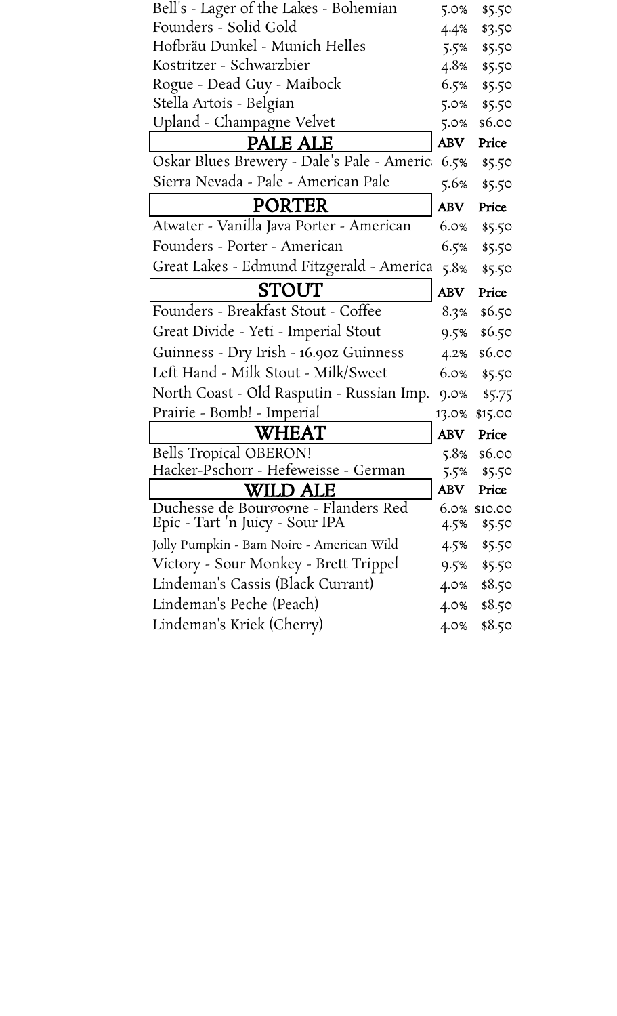| Bell's - Lager of the Lakes - Bohemian     | 5.0%       | \$5.50       |
|--------------------------------------------|------------|--------------|
| Founders - Solid Gold                      | 4.4%       | \$3.50       |
| Hofbräu Dunkel - Munich Helles             | 5.5%       | \$5.50       |
| Kostritzer - Schwarzbier                   | 4.8%       | \$5.50       |
| Rogue - Dead Guy - Maibock                 | 6.5%       | \$5.50       |
| Stella Artois - Belgian                    | 5.0%       | \$5.50       |
| Upland - Champagne Velvet                  | 5.0%       | \$6.00       |
| PALE ALE                                   | <b>ABV</b> | Price        |
| Oskar Blues Brewery - Dale's Pale - Americ | 6.5%       | \$5.50       |
| Sierra Nevada - Pale - American Pale       | 5.6%       | \$5.50       |
| <b>PORTER</b>                              | <b>ABV</b> | Price        |
| Atwater - Vanilla Java Porter - American   | 6.0%       | \$5.50       |
| Founders - Porter - American               | 6.5%       | \$5.50       |
| Great Lakes - Edmund Fitzgerald - America  | 5.8%       | \$5.50       |
| STOUT                                      | <b>ABV</b> | Price        |
| Founders - Breakfast Stout - Coffee        | 8.3%       | \$6.50       |
| Great Divide - Yeti - Imperial Stout       | 9.5%       | \$6.50       |
| Guinness - Dry Irish - 16.90z Guinness     | 4.2%       | \$6.00       |
| Left Hand - Milk Stout - Milk/Sweet        | 6.0%       | \$5.50       |
| North Coast - Old Rasputin - Russian Imp.  | 9.0%       | \$5.75       |
| Prairie - Bomb! - Imperial                 | 13.0%      | \$15.00      |
| <b>WHEAT</b>                               | <b>ABV</b> | Price        |
| <b>Bells Tropical OBERON!</b>              | 5.8%       | \$6.00       |
| Hacker-Pschorr - Hefeweisse - German       | 5.5%       | \$5.50       |
| WILD ALE                                   | <b>ABV</b> | Price        |
| Duchesse de Bourgogne - Flanders Red       |            | 6.0% \$10.00 |
| Epic - Tart 'n Juicy - Sour IPA            | 4.5%       | \$5.50       |
| Jolly Pumpkin - Bam Noire - American Wild  | 4.5%       | \$5.50       |
| Victory - Sour Monkey - Brett Trippel      | 9.5%       | \$5.50       |
| Lindeman's Cassis (Black Currant)          | 4.0%       | \$8.50       |
| Lindeman's Peche (Peach)                   | 4.0%       | \$8.50       |
| Lindeman's Kriek (Cherry)                  | 4.0%       | \$8.50       |
|                                            |            |              |